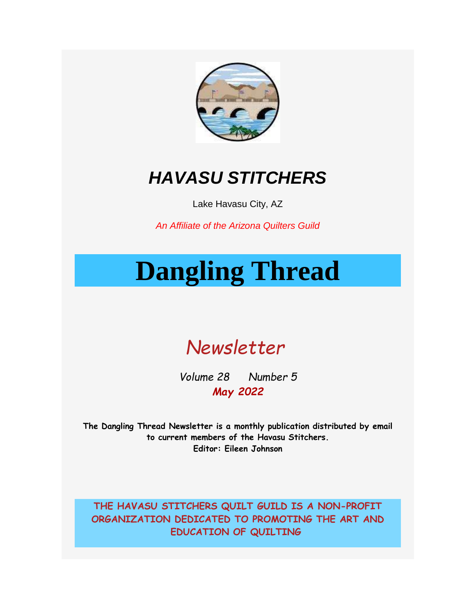

# *HAVASU STITCHERS*

Lake Havasu City, AZ

*An Affiliate of the Arizona Quilters Guild*

# **Dangling Thread**



*Volume 28 Number 5 May 2022*

**The Dangling Thread Newsletter is a monthly publication distributed by email to current members of the Havasu Stitchers. Editor: Eileen Johnson**

**THE HAVASU STITCHERS QUILT GUILD IS A NON-PROFIT ORGANIZATION DEDICATED TO PROMOTING THE ART AND EDUCATION OF QUILTING**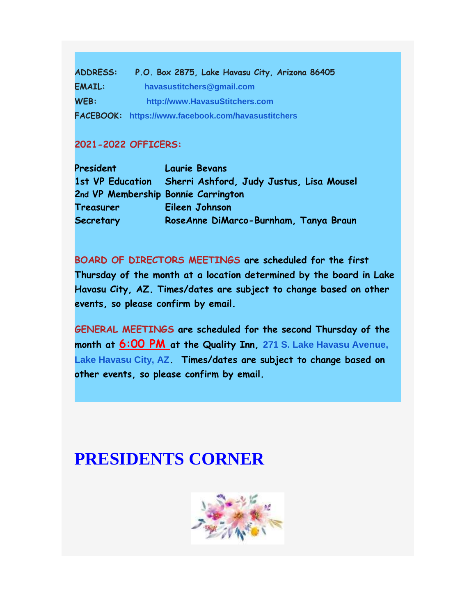**ADDRESS: P.O. Box 2875, Lake Havasu City, Arizona 86405 EMAIL: [havasustitchers@gmail.com](mailto:havasustitchers@gmail.com) WEB: [http://www.HavasuStitchers.com](https://havasustitchers.com/EmailTracker/LinkTracker.ashx?linkAndRecipientCode=zVF0OFzb4WyAWqbtfT%2fNmHXzAGpzLlfrYmMGF%2bDDM%2fos3GuMd%2b80uSkPhzzinXEZkQzabisTVLQMZgpcncjPjO0iSnezJCQXXRdwMgPrNUg%3d) FACEBOOK: [https://www.facebook.com/havasustitchers](https://havasustitchers.com/EmailTracker/LinkTracker.ashx?linkAndRecipientCode=AKyOothiF3ASUj00NRK8acZyTAX2FV8gWYpQP48VxSEs9TfBMglrYPBd3oNMuYwSapLhWIw1ujc9dABDcVm1umAmVxD5qoXT1IL15ogt7YQ%3d)**

#### **2021-2022 OFFICERS:**

| President                           | <b>Laurie Bevans</b>                                      |
|-------------------------------------|-----------------------------------------------------------|
|                                     | 1st VP Education Sherri Ashford, Judy Justus, Lisa Mousel |
| 2nd VP Membership Bonnie Carrington |                                                           |
| Treasurer                           | Eileen Johnson                                            |
| Secretary                           | RoseAnne DiMarco-Burnham, Tanya Braun                     |

**BOARD OF DIRECTORS MEETINGS are scheduled for the first Thursday of the month at a location determined by the board in Lake Havasu City, AZ. Times/dates are subject to change based on other events, so please confirm by email.**

**GENERAL MEETINGS are scheduled for the second Thursday of the month at 6:00 PM at the Quality Inn, [271 S. Lake Havasu Avenue,](https://www.google.com/maps/search/271+S.+Lake+Havasu+Avenue,+Lake+Havasu+City,+AZ?entry=gmail&source=g)  [Lake Havasu City, AZ](https://www.google.com/maps/search/271+S.+Lake+Havasu+Avenue,+Lake+Havasu+City,+AZ?entry=gmail&source=g). Times/dates are subject to change based on other events, so please confirm by email.** 

## **PRESIDENTS CORNER**

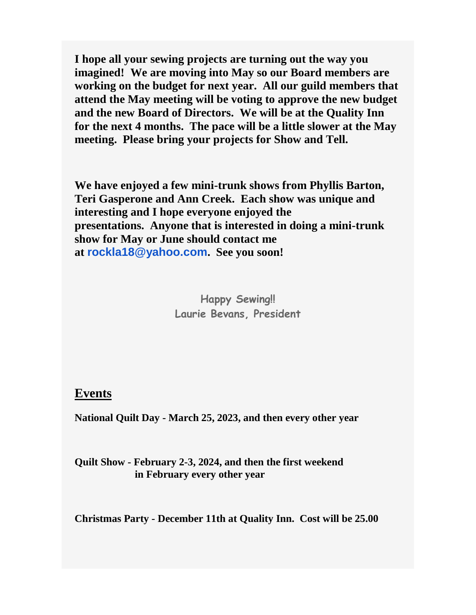**I hope all your sewing projects are turning out the way you imagined! We are moving into May so our Board members are working on the budget for next year. All our guild members that attend the May meeting will be voting to approve the new budget and the new Board of Directors. We will be at the Quality Inn for the next 4 months. The pace will be a little slower at the May meeting. Please bring your projects for Show and Tell.**

**We have enjoyed a few mini-trunk shows from Phyllis Barton, Teri Gasperone and Ann Creek. Each show was unique and interesting and I hope everyone enjoyed the presentations. Anyone that is interested in doing a mini-trunk show for May or June should contact me at [rockla18@yahoo.com](mailto:rockla18@yahoo.com). See you soon!**

> **Happy Sewing!! Laurie Bevans, President**

**Events**

**National Quilt Day - March 25, 2023, and then every other year**

**Quilt Show - February 2-3, 2024, and then the first weekend in February every other year**

**Christmas Party - December 11th at Quality Inn. Cost will be 25.00**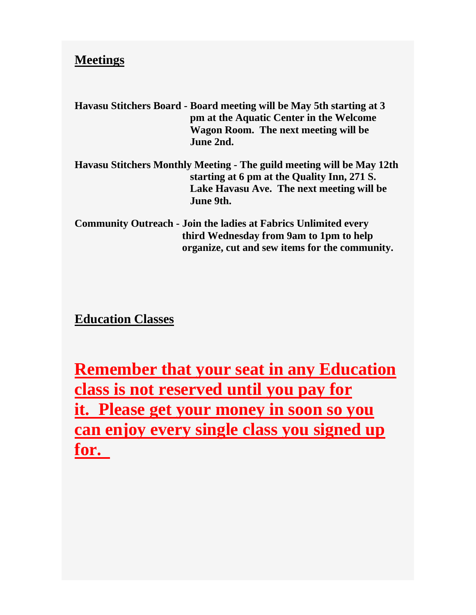### **Meetings**

**Havasu Stitchers Board - Board meeting will be May 5th starting at 3 pm at the Aquatic Center in the Welcome Wagon Room. The next meeting will be June 2nd.** 

**Havasu Stitchers Monthly Meeting - The guild meeting will be May 12th starting at 6 pm at the Quality Inn, 271 S. Lake Havasu Ave. The next meeting will be June 9th.**

**Community Outreach - Join the ladies at Fabrics Unlimited every third Wednesday from 9am to 1pm to help organize, cut and sew items for the community.** 

**Education Classes**

**Remember that your seat in any Education class is not reserved until you pay for it. Please get your money in soon so you can enjoy every single class you signed up for.**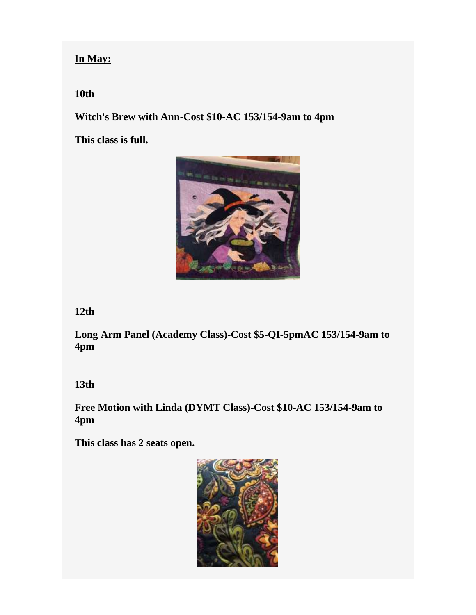#### **In May:**

#### **10th**

**Witch's Brew with Ann-Cost \$10-AC 153/154-9am to 4pm**

**This class is full.**



#### **12th**

**Long Arm Panel (Academy Class)-Cost \$5-QI-5pmAC 153/154-9am to 4pm**

#### **13th**

**Free Motion with Linda (DYMT Class)-Cost \$10-AC 153/154-9am to 4pm**

**This class has 2 seats open.**

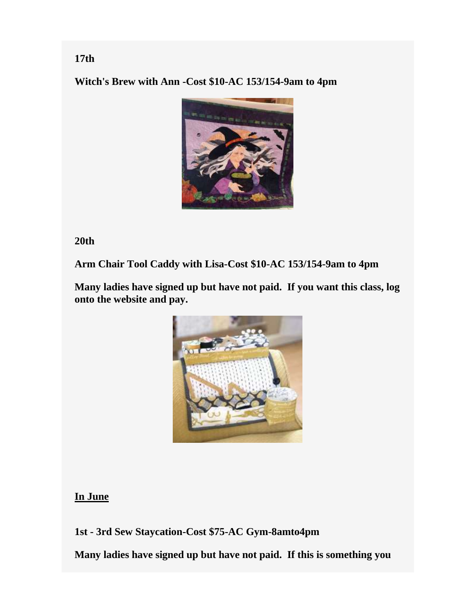**Witch's Brew with Ann -Cost \$10-AC 153/154-9am to 4pm**



**20th**

**Arm Chair Tool Caddy with Lisa-Cost \$10-AC 153/154-9am to 4pm**

**Many ladies have signed up but have not paid. If you want this class, log onto the website and pay.**



#### **In June**

**1st - 3rd Sew Staycation-Cost \$75-AC Gym-8amto4pm**

**Many ladies have signed up but have not paid. If this is something you** 

#### **17th**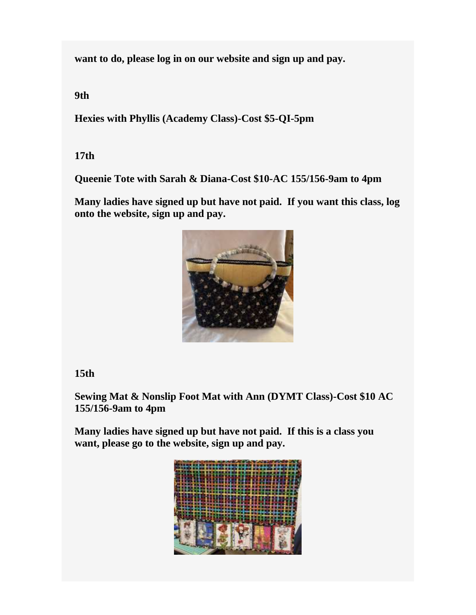**want to do, please log in on our website and sign up and pay.** 

**9th**

**Hexies with Phyllis (Academy Class)-Cost \$5-QI-5pm**

**17th**

**Queenie Tote with Sarah & Diana-Cost \$10-AC 155/156-9am to 4pm**

**Many ladies have signed up but have not paid. If you want this class, log onto the website, sign up and pay.**



### **15th**

**Sewing Mat & Nonslip Foot Mat with Ann (DYMT Class)-Cost \$10 AC 155/156-9am to 4pm**

**Many ladies have signed up but have not paid. If this is a class you want, please go to the website, sign up and pay.**

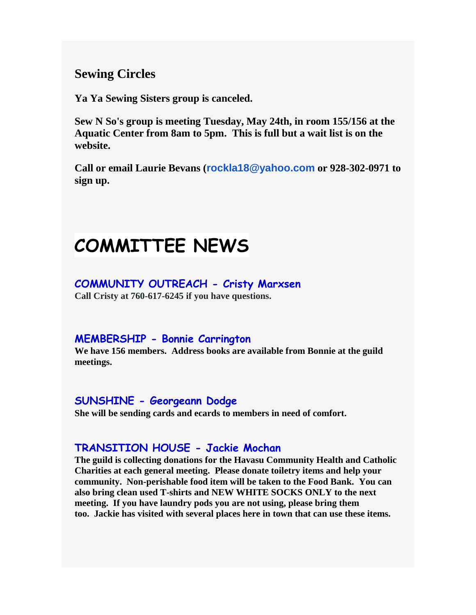**Sewing Circles**

**Ya Ya Sewing Sisters group is canceled.**

**Sew N So's group is meeting Tuesday, May 24th, in room 155/156 at the Aquatic Center from 8am to 5pm. This is full but a wait list is on the website.**

**Call or email Laurie Bevans ([rockla18@yahoo.com](mailto:rockla18@yahoo.com) or 928-302-0971 to sign up.** 

# **COMMITTEE NEWS**

#### **COMMUNITY OUTREACH - Cristy Marxsen**

**Call Cristy at 760-617-6245 if you have questions.**

#### **MEMBERSHIP - Bonnie Carrington**

**We have 156 members. Address books are available from Bonnie at the guild meetings.** 

### **SUNSHINE - Georgeann Dodge**

**She will be sending cards and ecards to members in need of comfort.** 

### **TRANSITION HOUSE - Jackie Mochan**

**The guild is collecting donations for the Havasu Community Health and Catholic Charities at each general meeting. Please donate toiletry items and help your community. Non-perishable food item will be taken to the Food Bank. You can also bring clean used T-shirts and NEW WHITE SOCKS ONLY to the next meeting. If you have laundry pods you are not using, please bring them too. Jackie has visited with several places here in town that can use these items.**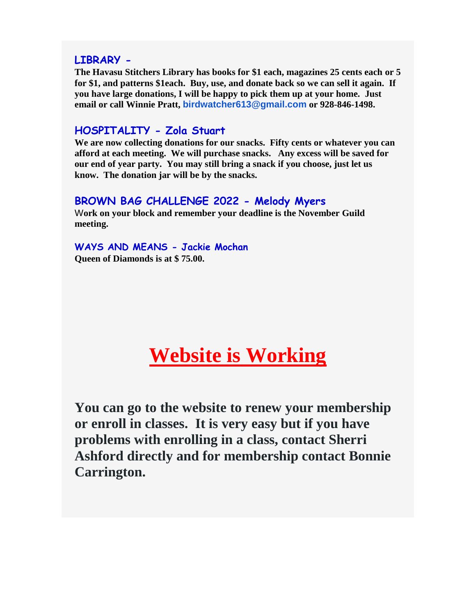#### **LIBRARY -**

**The Havasu Stitchers Library has books for \$1 each, magazines 25 cents each or 5 for \$1, and patterns \$1each. Buy, use, and donate back so we can sell it again. If you have large donations, I will be happy to pick them up at your home. Just email or call Winnie Pratt, [birdwatcher613@gmail.com](mailto:birdwatcher613@gmail.com) or 928-846-1498.**

#### **HOSPITALITY - Zola Stuart**

**We are now collecting donations for our snacks. Fifty cents or whatever you can afford at each meeting. We will purchase snacks. Any excess will be saved for our end of year party. You may still bring a snack if you choose, just let us know. The donation jar will be by the snacks.**

#### **BROWN BAG CHALLENGE 2022 - Melody Myers**

W**ork on your block and remember your deadline is the November Guild meeting.** 

**WAYS AND MEANS - Jackie Mochan Queen of Diamonds is at \$ 75.00.**

# **Website is Working**

**You can go to the website to renew your membership or enroll in classes. It is very easy but if you have problems with enrolling in a class, contact Sherri Ashford directly and for membership contact Bonnie Carrington.**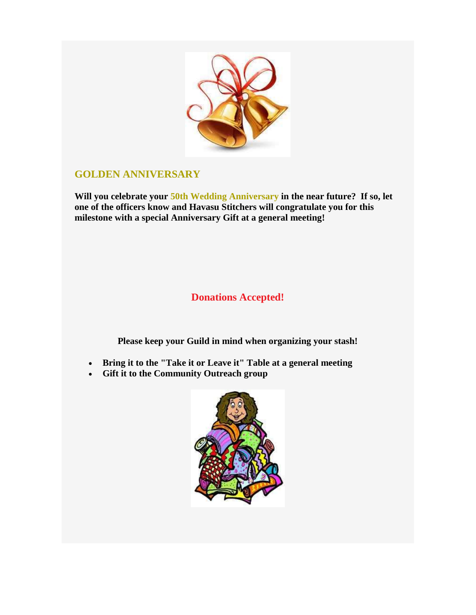

#### **GOLDEN ANNIVERSARY**

**Will you celebrate your 50th Wedding Anniversary in the near future? If so, let one of the officers know and Havasu Stitchers will congratulate you for this milestone with a special Anniversary Gift at a general meeting!**

### **Donations Accepted!**

**Please keep your Guild in mind when organizing your stash!**

- **Bring it to the "Take it or Leave it" Table at a general meeting**
- **Gift it to the Community Outreach group**

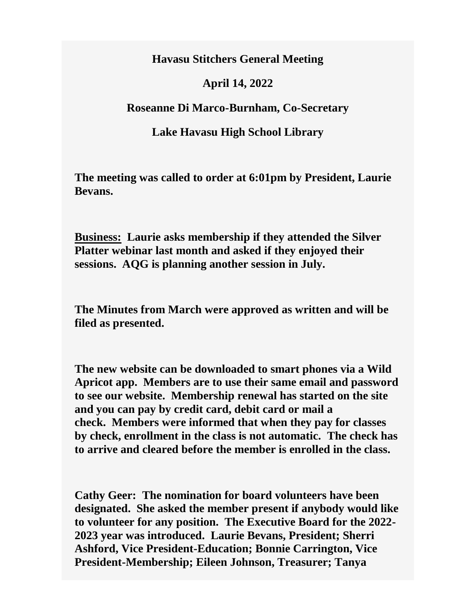**Havasu Stitchers General Meeting**

#### **April 14, 2022**

**Roseanne Di Marco-Burnham, Co-Secretary**

#### **Lake Havasu High School Library**

**The meeting was called to order at 6:01pm by President, Laurie Bevans.**

**Business: Laurie asks membership if they attended the Silver Platter webinar last month and asked if they enjoyed their sessions. AQG is planning another session in July.** 

**The Minutes from March were approved as written and will be filed as presented.** 

**The new website can be downloaded to smart phones via a Wild Apricot app. Members are to use their same email and password to see our website. Membership renewal has started on the site and you can pay by credit card, debit card or mail a check. Members were informed that when they pay for classes by check, enrollment in the class is not automatic. The check has to arrive and cleared before the member is enrolled in the class.** 

**Cathy Geer: The nomination for board volunteers have been designated. She asked the member present if anybody would like to volunteer for any position. The Executive Board for the 2022- 2023 year was introduced. Laurie Bevans, President; Sherri Ashford, Vice President-Education; Bonnie Carrington, Vice President-Membership; Eileen Johnson, Treasurer; Tanya**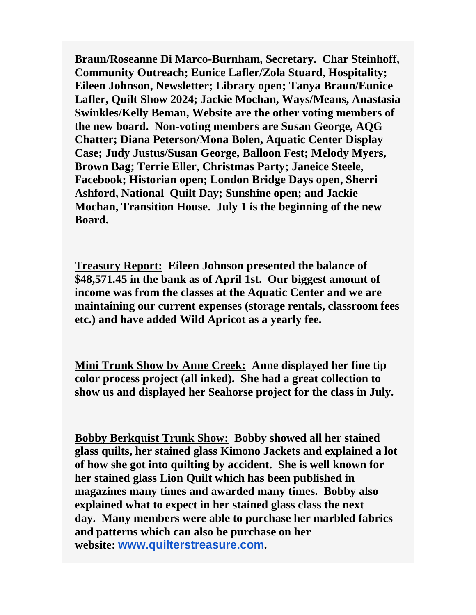**Braun/Roseanne Di Marco-Burnham, Secretary. Char Steinhoff, Community Outreach; Eunice Lafler/Zola Stuard, Hospitality; Eileen Johnson, Newsletter; Library open; Tanya Braun/Eunice Lafler, Quilt Show 2024; Jackie Mochan, Ways/Means, Anastasia Swinkles/Kelly Beman, Website are the other voting members of the new board. Non-voting members are Susan George, AQG Chatter; Diana Peterson/Mona Bolen, Aquatic Center Display Case; Judy Justus/Susan George, Balloon Fest; Melody Myers, Brown Bag; Terrie Eller, Christmas Party; Janeice Steele, Facebook; Historian open; London Bridge Days open, Sherri Ashford, National Quilt Day; Sunshine open; and Jackie Mochan, Transition House. July 1 is the beginning of the new Board.**

**Treasury Report: Eileen Johnson presented the balance of \$48,571.45 in the bank as of April 1st. Our biggest amount of income was from the classes at the Aquatic Center and we are maintaining our current expenses (storage rentals, classroom fees etc.) and have added Wild Apricot as a yearly fee.**

**Mini Trunk Show by Anne Creek: Anne displayed her fine tip color process project (all inked). She had a great collection to show us and displayed her Seahorse project for the class in July.**

**Bobby Berkquist Trunk Show: Bobby showed all her stained glass quilts, her stained glass Kimono Jackets and explained a lot of how she got into quilting by accident. She is well known for her stained glass Lion Quilt which has been published in magazines many times and awarded many times. Bobby also explained what to expect in her stained glass class the next day. Many members were able to purchase her marbled fabrics and patterns which can also be purchase on her website: [www.quilterstreasure.com](https://havasustitchers.com/EmailTracker/LinkTracker.ashx?linkAndRecipientCode=%2byZTf%2bn9sc6jbJEICZmJlBF7zYg8DGNfdfhSI6EBBpYUDB%2frKq46Jyj7BKjbFknsyvuox6sik%2fItKfImo0mlj%2fZ1kC9TlLL1NmuRTkXGVBo%3d).**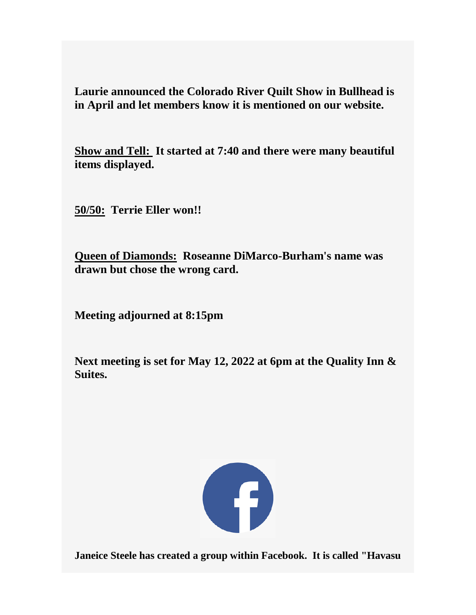**Laurie announced the Colorado River Quilt Show in Bullhead is in April and let members know it is mentioned on our website.** 

**Show and Tell: It started at 7:40 and there were many beautiful items displayed.**

**50/50: Terrie Eller won!!**

**Queen of Diamonds: Roseanne DiMarco-Burham's name was drawn but chose the wrong card.** 

**Meeting adjourned at 8:15pm**

**Next meeting is set for May 12, 2022 at 6pm at the Quality Inn & Suites.** 



**Janeice Steele has created a group within Facebook. It is called "Havasu**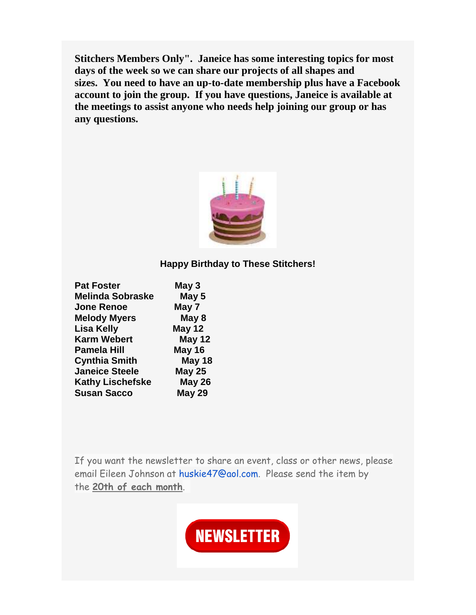**Stitchers Members Only". Janeice has some interesting topics for most days of the week so we can share our projects of all shapes and sizes. You need to have an up-to-date membership plus have a Facebook account to join the group. If you have questions, Janeice is available at the meetings to assist anyone who needs help joining our group or has any questions.**



#### **Happy Birthday to These Stitchers!**

| <b>Pat Foster</b>       | May 3         |
|-------------------------|---------------|
| <b>Melinda Sobraske</b> | May 5         |
| <b>Jone Renoe</b>       | May 7         |
| <b>Melody Myers</b>     | May 8         |
| <b>Lisa Kelly</b>       | <b>May 12</b> |
| <b>Karm Webert</b>      | <b>May 12</b> |
| <b>Pamela Hill</b>      | <b>May 16</b> |
| <b>Cynthia Smith</b>    | May 18        |
| <b>Janeice Steele</b>   | <b>May 25</b> |
| <b>Kathy Lischefske</b> | <b>May 26</b> |
| <b>Susan Sacco</b>      | <b>May 29</b> |
|                         |               |

If you want the newsletter to share an event, class or other news, please email Eileen Johnson at [huskie47@aol.com.](mailto:huskie47@aol.com) Please send the item by the **20th of each month**.

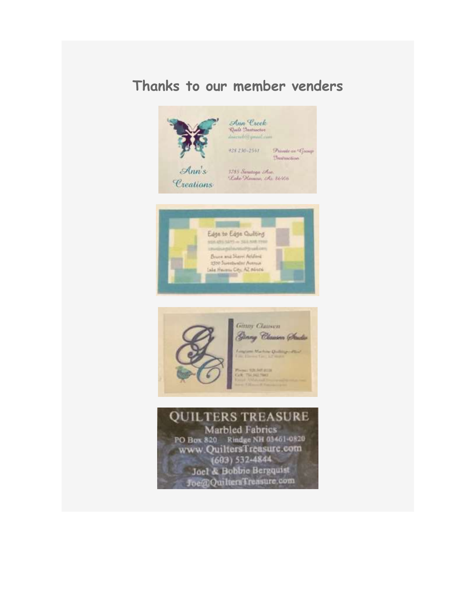### **Thanks to our member venders**



Ann Creek<br>Quili Instructio Diacorbic young com

**Trainetion** 



3785 Sarataga Awe.<br>Lake Hamara, Az 86406





**QUILTERS TREASURE** Marbled Fabrics PO Box 820 Rindge NH 03451-0820 www.QuiltersTreasure.com  $(603) 532 - 4844$ Joel & Bobbie Bergquist Joe@QuiltersTreasure.com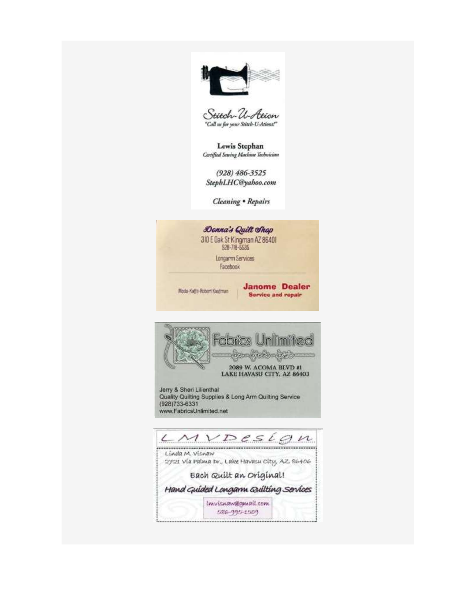



Lewis Stephan Certified Sewing Machine Technician

 $(928) 486 - 3525$ StephLHC@yahoo.com

Cleaning . Repairs